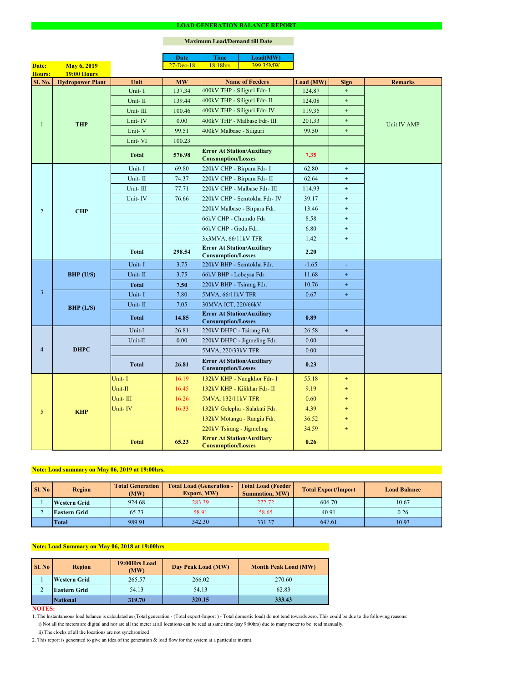#### **NOTES:**

|                 |                         |              | <b>Date</b>  | <b>Time</b>                                                    | Load(MW)                      |           |                  |                |  |
|-----------------|-------------------------|--------------|--------------|----------------------------------------------------------------|-------------------------------|-----------|------------------|----------------|--|
| Date:           | <b>May 6, 2019</b>      |              | $27$ -Dec-18 | 18:18hrs                                                       | 399.35MW                      |           |                  |                |  |
| Hours:          | <b>19:00 Hours</b>      |              |              |                                                                |                               |           |                  |                |  |
| <b>Sl. No.</b>  | <b>Hydropower Plant</b> | Unit         | <b>MW</b>    | <b>Name of Feeders</b>                                         |                               | Load (MW) | <b>Sign</b>      | <b>Remarks</b> |  |
|                 |                         | Unit-I       | 137.34       | 400kV THP - Siliguri Fdr- I                                    |                               | 124.87    | $\pm$            |                |  |
|                 |                         | Unit-II      | 139.44       | 400kV THP - Siliguri Fdr- II                                   |                               | 124.08    | $\pm$            |                |  |
|                 |                         | Unit-III     | 100.46       |                                                                | 400kV THP - Siliguri Fdr- IV  | 119.35    | $+$              |                |  |
|                 | <b>THP</b>              | Unit-IV      | 0.00         |                                                                | 400kV THP - Malbase Fdr- III  | 201.33    | $+$              | Unit IV AMP    |  |
|                 |                         | Unit-V       | 99.51        | 400kV Malbase - Siliguri                                       |                               | 99.50     | $\boldsymbol{+}$ |                |  |
|                 |                         | Unit-VI      | 100.23       |                                                                |                               |           |                  |                |  |
|                 |                         | <b>Total</b> | 576.98       | <b>Error At Station/Auxiliary</b><br><b>Consumption/Losses</b> |                               | 7.35      |                  |                |  |
|                 |                         | Unit-I       | 69.80        | 220kV CHP - Birpara Fdr- I                                     |                               | 62.80     | $+$              |                |  |
|                 |                         | Unit-II      | 74.37        | 220kV CHP - Birpara Fdr- II                                    |                               | 62.64     | $+$              |                |  |
|                 |                         | Unit-III     | 77.71        |                                                                | 220kV CHP - Malbase Fdr- III  | 114.93    | $+$              |                |  |
|                 |                         | Unit-IV      | 76.66        |                                                                | 220kV CHP - Semtokha Fdr- IV  | 39.17     | $+$              |                |  |
| $\overline{2}$  | <b>CHP</b>              |              |              |                                                                | 220kV Malbase - Birpara Fdr.  | 13.46     | $\boldsymbol{+}$ |                |  |
|                 |                         |              |              | 66kV CHP - Chumdo Fdr.                                         |                               | 8.58      | $+$              |                |  |
|                 |                         |              |              | 66kV CHP - Gedu Fdr.                                           |                               | 6.80      | $\pm$            |                |  |
|                 |                         |              |              | 3x3MVA, 66/11kV TFR                                            |                               | 1.42      | $+$              |                |  |
|                 |                         | <b>Total</b> | 298.54       | <b>Error At Station/Auxiliary</b><br><b>Consumption/Losses</b> |                               | 2.20      |                  |                |  |
|                 | $BHP$ (U/S)             | Unit-I       | 3.75         | 220kV BHP - Semtokha Fdr.                                      |                               | $-1.65$   | $\sim$           |                |  |
|                 |                         | Unit-II      | 3.75         | 66kV BHP - Lobeysa Fdr.                                        |                               | 11.68     | $\pm$            |                |  |
|                 |                         | <b>Total</b> | 7.50         | 220kV BHP - Tsirang Fdr.                                       |                               | 10.76     | $+$              |                |  |
| $\overline{3}$  | BHP (L/S)               | Unit-I       | 7.80         | 5MVA, 66/11kV TFR                                              |                               | 0.67      | $\pm$            |                |  |
|                 |                         | Unit-II      | 7.05         | 30MVA ICT, 220/66kV                                            |                               |           |                  |                |  |
|                 |                         | <b>Total</b> | 14.85        | <b>Error At Station/Auxiliary</b><br><b>Consumption/Losses</b> |                               | 0.89      |                  |                |  |
|                 | <b>DHPC</b>             | Unit-I       | 26.81        | 220kV DHPC - Tsirang Fdr.                                      |                               | 26.58     | $+$              |                |  |
|                 |                         | Unit-II      | 0.00         |                                                                | 220kV DHPC - Jigmeling Fdr.   | 0.00      |                  |                |  |
| $\overline{4}$  |                         |              |              | 5MVA, 220/33kV TFR                                             |                               | 0.00      |                  |                |  |
|                 |                         | <b>Total</b> | 26.81        | <b>Error At Station/Auxiliary</b><br><b>Consumption/Losses</b> |                               | 0.23      |                  |                |  |
|                 |                         | Unit-I       | 16.19        |                                                                | 132kV KHP - Nangkhor Fdr- I   | 55.18     | $+$              |                |  |
|                 |                         | Unit-II      | 16.45        |                                                                | 132kV KHP - Kilikhar Fdr- II  | 9.19      | $+$              |                |  |
|                 |                         | Unit-III     | 16.26        | 5MVA, 132/11kV TFR                                             |                               | 0.60      | $+$              |                |  |
| $5\overline{)}$ | <b>KHP</b>              | Unit-IV      | 16.33        |                                                                | 132kV Gelephu - Salakati Fdr. | 4.39      | $+$              |                |  |
|                 |                         |              |              |                                                                | 132kV Motanga - Rangia Fdr.   | 36.52     | $+$              |                |  |
|                 |                         |              |              | 220kV Tsirang - Jigmeling                                      |                               | 34.59     | $+$              |                |  |
|                 |                         | <b>Total</b> | 65.23        | <b>Error At Station/Auxiliary</b><br><b>Consumption/Losses</b> |                               | 0.26      |                  |                |  |

#### **LOAD GENERATION BALANCE REPORT**

| Sl. No | <b>Region</b>       | <b>Total Generation</b><br>(MW) | <b>Total Load (Generation -</b><br><b>Export, MW)</b> | <b>Total Load (Feeder)</b><br><b>Summation, MW)</b> | <b>Total Export/Import</b> | <b>Load Balance</b> |
|--------|---------------------|---------------------------------|-------------------------------------------------------|-----------------------------------------------------|----------------------------|---------------------|
|        | <b>Western Grid</b> | 283.39<br>924.68                |                                                       | 272.72                                              | 606.70                     | 10.67               |
|        | <b>Eastern Grid</b> | 65.23                           | 58.91                                                 | 58.65                                               | 40.91                      | 0.26                |
|        | <b>Total</b>        | 989.91                          | 342.30                                                | 331.37                                              | 647.61                     | 10.93               |

| <b>Sl. No</b> | <b>Region</b>       | 19:00Hrs Load<br>(MW) | Day Peak Load (MW) | <b>Month Peak Load (MW)</b> |  |
|---------------|---------------------|-----------------------|--------------------|-----------------------------|--|
|               | <b>Western Grid</b> | 265.57                | 266.02             | 270.60                      |  |
|               | <b>Eastern Grid</b> | 54.13                 | 54.13              | 62.83                       |  |
|               | <b>National</b>     | 319.70                | 320.15             | 333.43                      |  |

i) Not all the meters are digital and nor are all the meter at all locations can be read at same time (say 9:00hrs) due to many meter to be read manually.

# **Note: Load Summary on May 06, 2018 at 19:00hrs**

1. The Instantaneous load balance is calculated as (Total generation - (Total export-Import ) - Total domestic load) do not tend towards zero. This could be due to the following reasons:

# **Note: Load summary on May 06, 2019 at 19:00hrs.**

2. This report is generated to give an idea of the generation & load flow for the system at a particular instant.

### **Maximum Load/Demand till Date**

ii) The clocks of all the locations are not synchronized